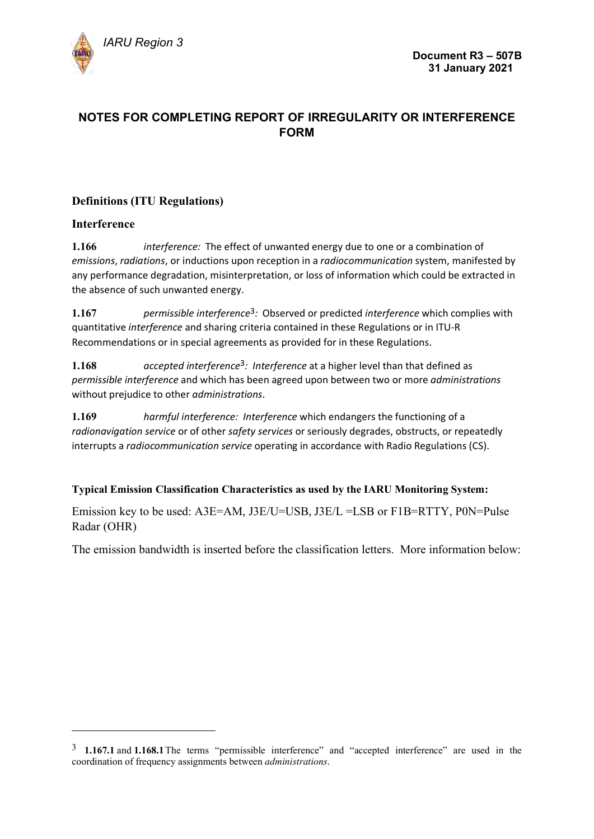

### **NOTES FOR COMPLETING REPORT OF IRREGULARITY OR INTERFERENCE FORM**

### **Definitions (ITU Regulations)**

#### **Interference**

**1.166** *interference:* The effect of unwanted energy due to one or a combination of *emissions*, *radiations*, or inductions upon reception in a *radiocommunication* system, manifested by any performance degradation, misinterpretation, or loss of information which could be extracted in the absence of such unwanted energy.

**1.167** *permissible interference*3*:* Observed or predicted *interference* which complies with quantitative *interference* and sharing criteria contained in these Regulations or in ITU-R Recommendations or in special agreements as provided for in these Regulations.

**1.168** *accepted interference*3*: Interference* at a higher level than that defined as *permissible interference* and which has been agreed upon between two or more *administrations* without prejudice to other *administrations*.

**1.169** *harmful interference: Interference* which endangers the functioning of a *radionavigation service* or of other *safety services* or seriously degrades, obstructs, or repeatedly interrupts a *radiocommunication service* operating in accordance with Radio Regulations (CS).

#### **Typical Emission Classification Characteristics as used by the IARU Monitoring System:**

Emission key to be used: A3E=AM, J3E/U=USB, J3E/L =LSB or F1B=RTTY, P0N=Pulse Radar (OHR)

The emission bandwidth is inserted before the classification letters. More information below:

<sup>3</sup> **1.167.1** and **1.168.1**The terms "permissible interference" and "accepted interference" are used in the coordination of frequency assignments between *administrations*.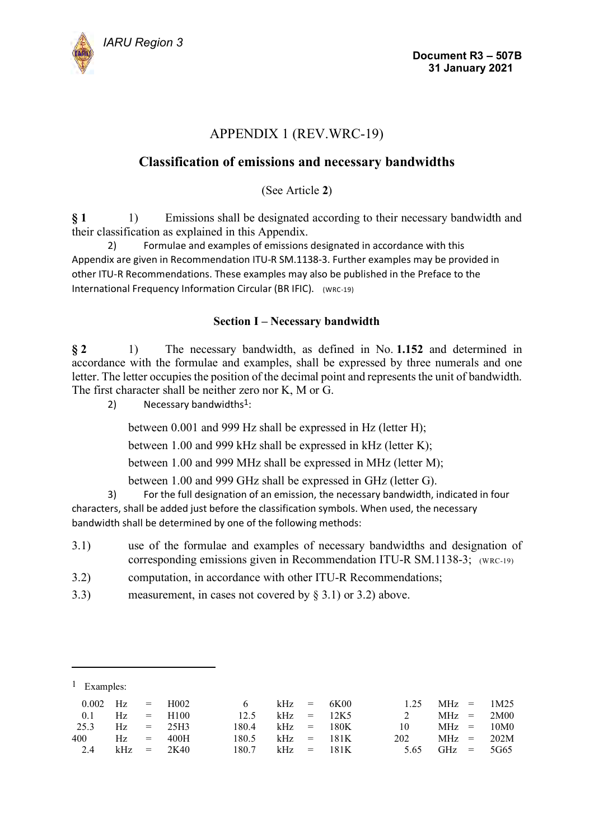

# APPENDIX 1 (REV.WRC-19)

# **Classification of emissions and necessary bandwidths**

(See Article **2**)

**§ 1** 1) Emissions shall be designated according to their necessary bandwidth and their classification as explained in this Appendix.

2) Formulae and examples of emissions designated in accordance with this Appendix are given in Recommendation ITU-R SM.1138-3. Further examples may be provided in other ITU-R Recommendations. These examples may also be published in the Preface to the International Frequency Information Circular (BR IFIC). (WRC-19)

#### **Section I – Necessary bandwidth**

**§ 2** 1) The necessary bandwidth, as defined in No. **1.152** and determined in accordance with the formulae and examples, shall be expressed by three numerals and one letter. The letter occupies the position of the decimal point and represents the unit of bandwidth. The first character shall be neither zero nor K, M or G.

2) Necessary bandwidths<sup>1</sup>:

between 0.001 and 999 Hz shall be expressed in Hz (letter H);

between 1.00 and 999 kHz shall be expressed in kHz (letter K);

between 1.00 and 999 MHz shall be expressed in MHz (letter M);

between 1.00 and 999 GHz shall be expressed in GHz (letter G).

3) For the full designation of an emission, the necessary bandwidth, indicated in four characters, shall be added just before the classification symbols. When used, the necessary bandwidth shall be determined by one of the following methods:

- 3.1) use of the formulae and examples of necessary bandwidths and designation of corresponding emissions given in Recommendation ITU-R SM.1138-3; (WRC-19)
- 3.2) computation, in accordance with other ITU-R Recommendations;
- 3.3) measurement, in cases not covered by § 3.1) or 3.2) above.

<sup>1</sup> Examples:

|                      |  | $0.002$ Hz = H002 | 6 $kHz = 6K00$       |  | 1.25        | $MHz = 1M25$        |  |
|----------------------|--|-------------------|----------------------|--|-------------|---------------------|--|
|                      |  | $0.1$ Hz = H100   | $12.5$ kHz = $12K5$  |  | $2^{\circ}$ | $MHz = 2M00$        |  |
| $25.3$ Hz = $25H3$   |  |                   | $180.4$ kHz = $180K$ |  | 10.         | $MHz = 10M0$        |  |
| $400 \t\t Hz = 400H$ |  |                   | $180.5$ kHz = $181K$ |  | 202         | $MHz = 202M$        |  |
| 2.4                  |  | $kHz = 2K40$      | $180.7$ kHz = $181K$ |  |             | $5.65$ GHz = $5G65$ |  |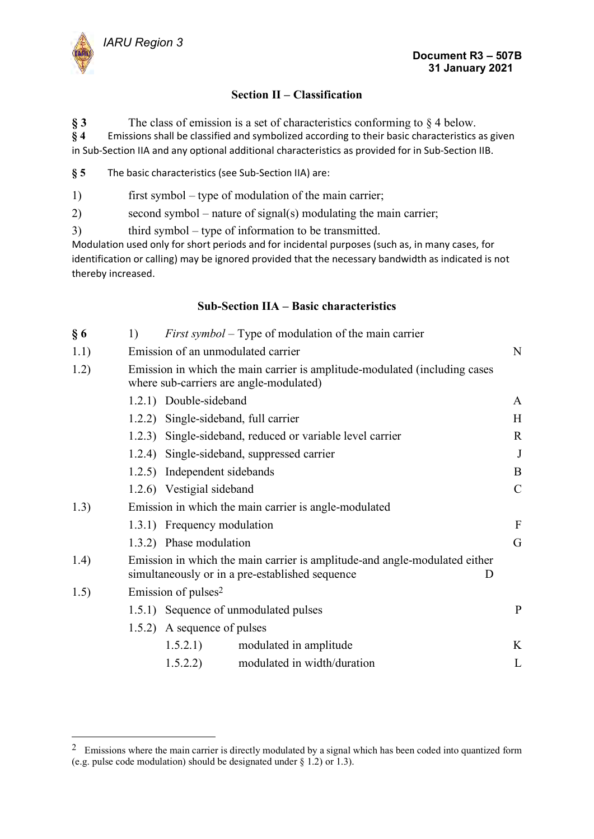

### **Section II – Classification**

**§ 3** The class of emission is a set of characteristics conforming to § 4 below. **§ 4** Emissions shall be classified and symbolized according to their basic characteristics as given in Sub-Section IIA and any optional additional characteristics as provided for in Sub-Section IIB.

**§ 5** The basic characteristics (see Sub-Section IIA) are:

1) first symbol – type of modulation of the main carrier;

2) second symbol – nature of signal(s) modulating the main carrier;

3) third symbol – type of information to be transmitted.

Modulation used only for short periods and for incidental purposes (such as, in many cases, for identification or calling) may be ignored provided that the necessary bandwidth as indicated is not thereby increased.

#### **Sub-Section IIA – Basic characteristics**

| § 6  | 1)                                                                                                                    | <i>First symbol</i> – Type of modulation of the main carrier                                                                       |   |  |  |  |
|------|-----------------------------------------------------------------------------------------------------------------------|------------------------------------------------------------------------------------------------------------------------------------|---|--|--|--|
| 1.1) |                                                                                                                       | Emission of an unmodulated carrier<br>$\mathbf N$                                                                                  |   |  |  |  |
| 1.2) | Emission in which the main carrier is amplitude-modulated (including cases<br>where sub-carriers are angle-modulated) |                                                                                                                                    |   |  |  |  |
|      | 1.2.1) Double-sideband<br>A                                                                                           |                                                                                                                                    |   |  |  |  |
|      | 1.2.2) Single-sideband, full carrier                                                                                  |                                                                                                                                    |   |  |  |  |
|      | 1.2.3) Single-sideband, reduced or variable level carrier                                                             |                                                                                                                                    |   |  |  |  |
|      | 1.2.4) Single-sideband, suppressed carrier                                                                            |                                                                                                                                    |   |  |  |  |
|      | 1.2.5) Independent sidebands<br>B                                                                                     |                                                                                                                                    |   |  |  |  |
|      | 1.2.6) Vestigial sideband                                                                                             |                                                                                                                                    |   |  |  |  |
| 1.3) | Emission in which the main carrier is angle-modulated                                                                 |                                                                                                                                    |   |  |  |  |
|      | $\mathbf{F}$<br>1.3.1) Frequency modulation                                                                           |                                                                                                                                    |   |  |  |  |
|      | 1.3.2) Phase modulation                                                                                               |                                                                                                                                    |   |  |  |  |
| 1.4) |                                                                                                                       | Emission in which the main carrier is amplitude-and angle-modulated either<br>simultaneously or in a pre-established sequence<br>D |   |  |  |  |
| 1.5) | Emission of pulses $2$                                                                                                |                                                                                                                                    |   |  |  |  |
|      |                                                                                                                       | 1.5.1) Sequence of unmodulated pulses                                                                                              |   |  |  |  |
|      |                                                                                                                       | 1.5.2) A sequence of pulses                                                                                                        |   |  |  |  |
|      |                                                                                                                       | modulated in amplitude<br>1.5.2.1)                                                                                                 | K |  |  |  |
|      |                                                                                                                       | modulated in width/duration<br>1.5.2.2)                                                                                            | L |  |  |  |
|      |                                                                                                                       |                                                                                                                                    |   |  |  |  |

<sup>&</sup>lt;sup>2</sup> Emissions where the main carrier is directly modulated by a signal which has been coded into quantized form (e.g. pulse code modulation) should be designated under § 1.2) or 1.3).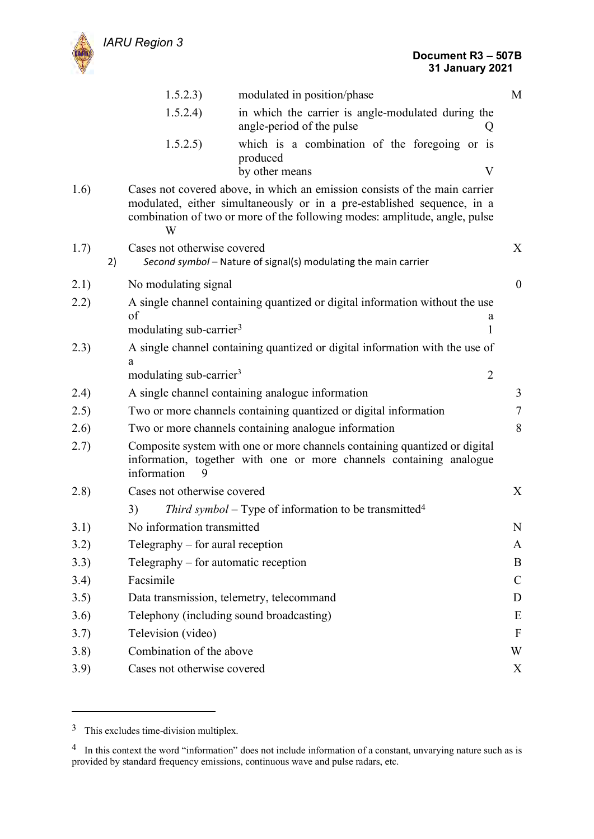

|       |    | 1.5.2.3)                                  | modulated in position/phase                                                                                                                                                                                                         | M                |
|-------|----|-------------------------------------------|-------------------------------------------------------------------------------------------------------------------------------------------------------------------------------------------------------------------------------------|------------------|
|       |    | 1.5.2.4)                                  | in which the carrier is angle-modulated during the<br>angle-period of the pulse<br>Q                                                                                                                                                |                  |
|       |    | 1.5.2.5)                                  | which is a combination of the foregoing or<br>$\frac{1}{1}$<br>produced<br>by other means<br>V                                                                                                                                      |                  |
| 1.6)  |    | W                                         | Cases not covered above, in which an emission consists of the main carrier<br>modulated, either simultaneously or in a pre-established sequence, in a<br>combination of two or more of the following modes: amplitude, angle, pulse |                  |
| 1.7)  | 2) | Cases not otherwise covered               | Second symbol - Nature of signal(s) modulating the main carrier                                                                                                                                                                     | X                |
| 2.1)  |    | No modulating signal                      |                                                                                                                                                                                                                                     | $\boldsymbol{0}$ |
| 2.2)  |    | of<br>modulating sub-carrier <sup>3</sup> | A single channel containing quantized or digital information without the use<br>a<br>1                                                                                                                                              |                  |
|       |    |                                           |                                                                                                                                                                                                                                     |                  |
| 2.3)  |    | a                                         | A single channel containing quantized or digital information with the use of                                                                                                                                                        |                  |
|       |    | modulating sub-carrier <sup>3</sup>       | $\overline{2}$                                                                                                                                                                                                                      |                  |
| (2.4) |    |                                           | A single channel containing analogue information                                                                                                                                                                                    | 3                |
| (2.5) |    |                                           | Two or more channels containing quantized or digital information                                                                                                                                                                    | $\overline{7}$   |
| 2.6)  |    |                                           | Two or more channels containing analogue information                                                                                                                                                                                | 8                |
| 2.7)  |    | information                               | Composite system with one or more channels containing quantized or digital<br>information, together with one or more channels containing analogue                                                                                   |                  |
| (2.8) |    | Cases not otherwise covered               |                                                                                                                                                                                                                                     | X                |
|       |    | 3)                                        | <i>Third symbol</i> – Type of information to be transmitted <sup>4</sup>                                                                                                                                                            |                  |
| 3.1)  |    | No information transmitted                |                                                                                                                                                                                                                                     | N                |
| 3.2)  |    | Telegraphy $-$ for aural reception        |                                                                                                                                                                                                                                     | A                |
| 3.3)  |    | Telegraphy – for automatic reception      |                                                                                                                                                                                                                                     | B                |
| 3.4)  |    | Facsimile                                 |                                                                                                                                                                                                                                     | C                |
| 3.5)  |    |                                           | Data transmission, telemetry, telecommand                                                                                                                                                                                           | D                |
| 3.6)  |    | Telephony (including sound broadcasting)  |                                                                                                                                                                                                                                     | E                |
| 3.7)  |    | Television (video)                        |                                                                                                                                                                                                                                     | F                |
| 3.8)  |    | Combination of the above                  |                                                                                                                                                                                                                                     | W                |
| 3.9)  |    | Cases not otherwise covered               |                                                                                                                                                                                                                                     | X                |

<sup>3</sup> This excludes time-division multiplex.

 $4\;$  In this context the word "information" does not include information of a constant, unvarying nature such as is provided by standard frequency emissions, continuous wave and pulse radars, etc.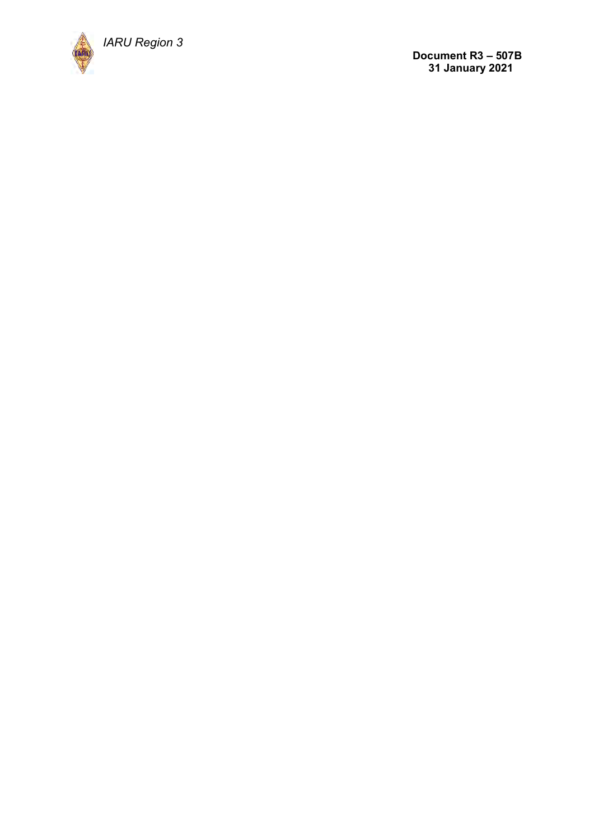

Document R3 - 507B **31 January 2021**